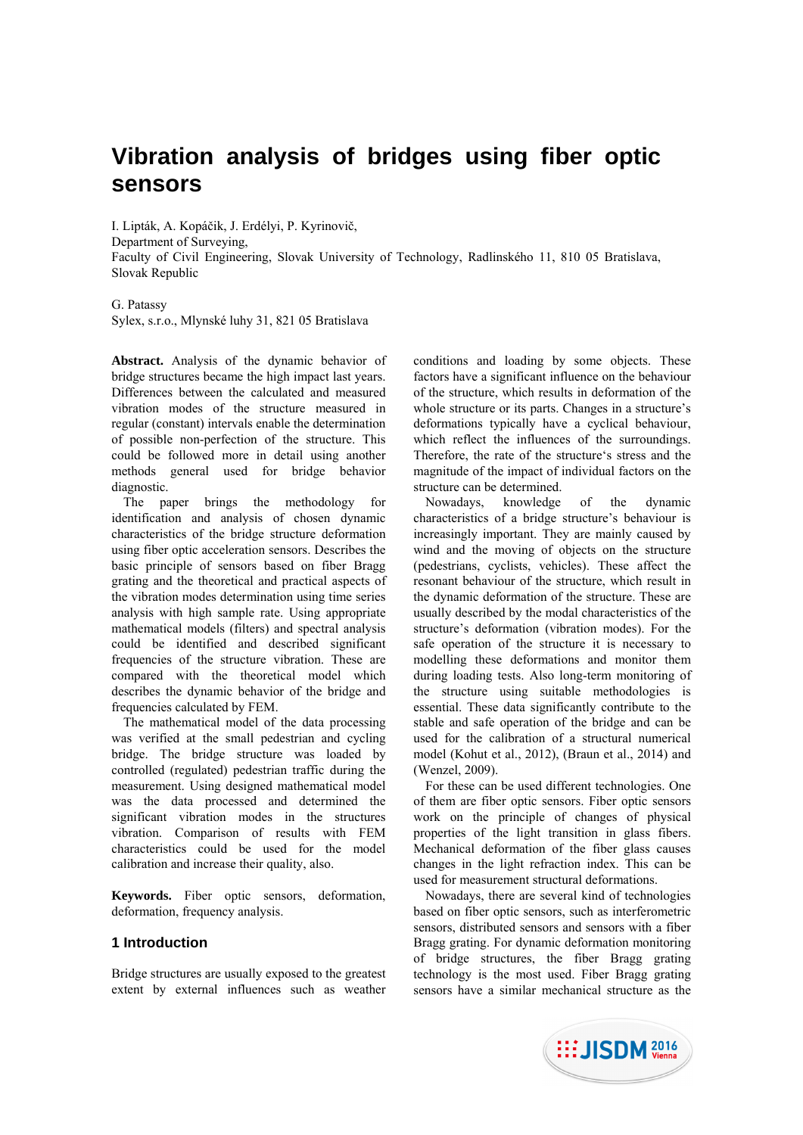# **Vibration analysis of bridges using fiber optic sensors**

I. Lipták, A. Kopáčik, J. Erdélyi, P. Kyrinovič, Department of Surveying, Faculty of Civil Engineering, Slovak University of Technology, Radlinského 11, 810 05 Bratislava, Slovak Republic

G. Patassy Sylex, s.r.o., Mlynské luhy 31, 821 05 Bratislava

**Abstract.** Analysis of the dynamic behavior of bridge structures became the high impact last years. Differences between the calculated and measured vibration modes of the structure measured in regular (constant) intervals enable the determination of possible non-perfection of the structure. This could be followed more in detail using another methods general used for bridge behavior diagnostic.

The paper brings the methodology for identification and analysis of chosen dynamic characteristics of the bridge structure deformation using fiber optic acceleration sensors. Describes the basic principle of sensors based on fiber Bragg grating and the theoretical and practical aspects of the vibration modes determination using time series analysis with high sample rate. Using appropriate mathematical models (filters) and spectral analysis could be identified and described significant frequencies of the structure vibration. These are compared with the theoretical model which describes the dynamic behavior of the bridge and frequencies calculated by FEM.

The mathematical model of the data processing was verified at the small pedestrian and cycling bridge. The bridge structure was loaded by controlled (regulated) pedestrian traffic during the measurement. Using designed mathematical model was the data processed and determined the significant vibration modes in the structures vibration. Comparison of results with FEM characteristics could be used for the model calibration and increase their quality, also.

**Keywords.** Fiber optic sensors, deformation, deformation, frequency analysis.

# **1 Introduction**

Bridge structures are usually exposed to the greatest extent by external influences such as weather conditions and loading by some objects. These factors have a significant influence on the behaviour of the structure, which results in deformation of the whole structure or its parts. Changes in a structure's deformations typically have a cyclical behaviour, which reflect the influences of the surroundings. Therefore, the rate of the structure's stress and the magnitude of the impact of individual factors on the structure can be determined.

Nowadays, knowledge of the dynamic characteristics of a bridge structure's behaviour is increasingly important. They are mainly caused by wind and the moving of objects on the structure (pedestrians, cyclists, vehicles). These affect the resonant behaviour of the structure, which result in the dynamic deformation of the structure. These are usually described by the modal characteristics of the structure's deformation (vibration modes). For the safe operation of the structure it is necessary to modelling these deformations and monitor them during loading tests. Also long-term monitoring of the structure using suitable methodologies is essential. These data significantly contribute to the stable and safe operation of the bridge and can be used for the calibration of a structural numerical model (Kohut et al., 2012), (Braun et al., 2014) and (Wenzel, 2009).

For these can be used different technologies. One of them are fiber optic sensors. Fiber optic sensors work on the principle of changes of physical properties of the light transition in glass fibers. Mechanical deformation of the fiber glass causes changes in the light refraction index. This can be used for measurement structural deformations.

Nowadays, there are several kind of technologies based on fiber optic sensors, such as interferometric sensors, distributed sensors and sensors with a fiber Bragg grating. For dynamic deformation monitoring of bridge structures, the fiber Bragg grating technology is the most used. Fiber Bragg grating sensors have a similar mechanical structure as the

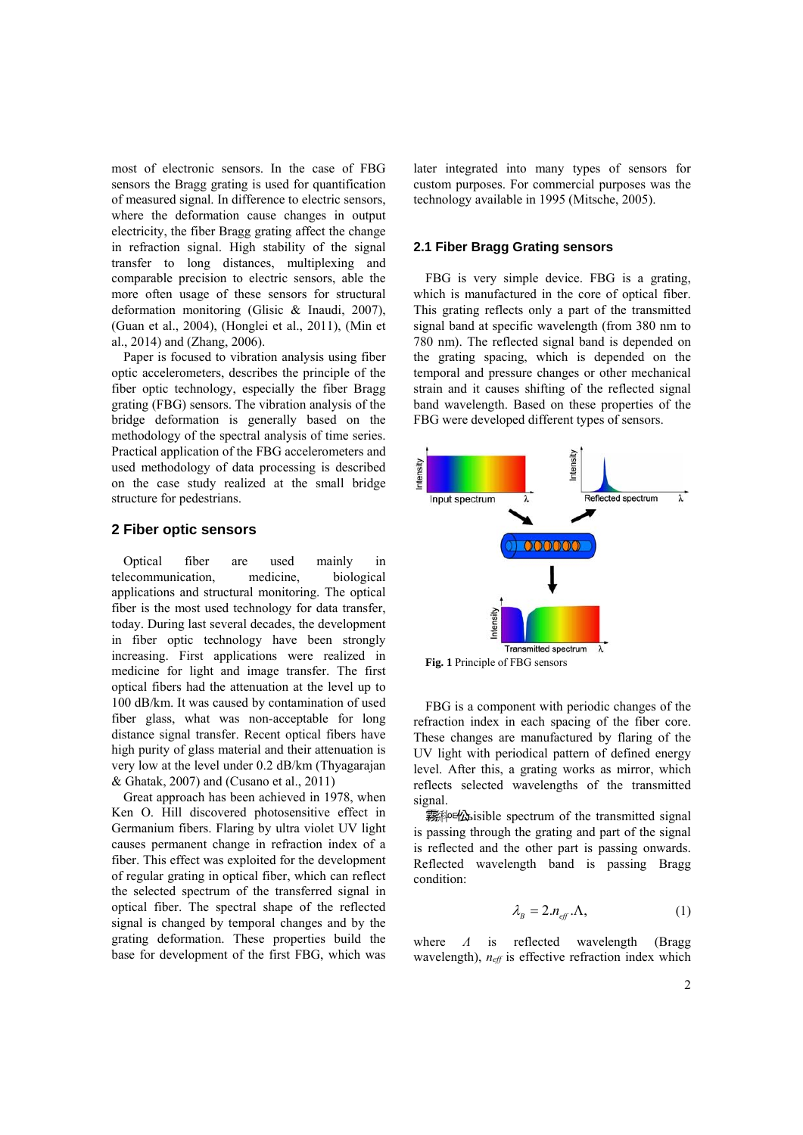most of electronic sensors. In the case of FBG sensors the Bragg grating is used for quantification of measured signal. In difference to electric sensors, where the deformation cause changes in output electricity, the fiber Bragg grating affect the change in refraction signal. High stability of the signal transfer to long distances, multiplexing and comparable precision to electric sensors, able the more often usage of these sensors for structural deformation monitoring (Glisic & Inaudi, 2007), (Guan et al., 2004), (Honglei et al., 2011), (Min et al., 2014) and (Zhang, 2006).

Paper is focused to vibration analysis using fiber optic accelerometers, describes the principle of the fiber optic technology, especially the fiber Bragg grating (FBG) sensors. The vibration analysis of the bridge deformation is generally based on the methodology of the spectral analysis of time series. Practical application of the FBG accelerometers and used methodology of data processing is described on the case study realized at the small bridge structure for pedestrians.

# **2 Fiber optic sensors**

Optical fiber are used mainly in telecommunication, medicine, biological applications and structural monitoring. The optical fiber is the most used technology for data transfer, today. During last several decades, the development in fiber optic technology have been strongly increasing. First applications were realized in medicine for light and image transfer. The first optical fibers had the attenuation at the level up to 100 dB/km. It was caused by contamination of used fiber glass, what was non-acceptable for long distance signal transfer. Recent optical fibers have high purity of glass material and their attenuation is very low at the level under 0.2 dB/km (Thyagarajan & Ghatak, 2007) and (Cusano et al., 2011)

Great approach has been achieved in 1978, when Ken O. Hill discovered photosensitive effect in Germanium fibers. Flaring by ultra violet UV light causes permanent change in refraction index of a fiber. This effect was exploited for the development of regular grating in optical fiber, which can reflect the selected spectrum of the transferred signal in optical fiber. The spectral shape of the reflected signal is changed by temporal changes and by the grating deformation. These properties build the base for development of the first FBG, which was

later integrated into many types of sensors for custom purposes. For commercial purposes was the technology available in 1995 (Mitsche, 2005).

# **2.1 Fiber Bragg Grating sensors**

FBG is very simple device. FBG is a grating, which is manufactured in the core of optical fiber. This grating reflects only a part of the transmitted signal band at specific wavelength (from 380 nm to 780 nm). The reflected signal band is depended on the grating spacing, which is depended on the temporal and pressure changes or other mechanical strain and it causes shifting of the reflected signal band wavelength. Based on these properties of the FBG were developed different types of sensors.



**Fig. 1** Principle of FBG sensors

FBG is a component with periodic changes of the refraction index in each spacing of the fiber core. These changes are manufactured by flaring of the UV light with periodical pattern of defined energy level. After this, a grating works as mirror, which reflects selected wavelengths of the transmitted signal.

**霧种地sisible spectrum of the transmitted signal** is passing through the grating and part of the signal is reflected and the other part is passing onwards. Reflected wavelength band is passing Bragg condition:

$$
\lambda_{B} = 2.n_{\text{eff}} \Lambda, \qquad (1)
$$

where *Λ* is reflected wavelength (Bragg wavelength),  $n_{\text{eff}}$  is effective refraction index which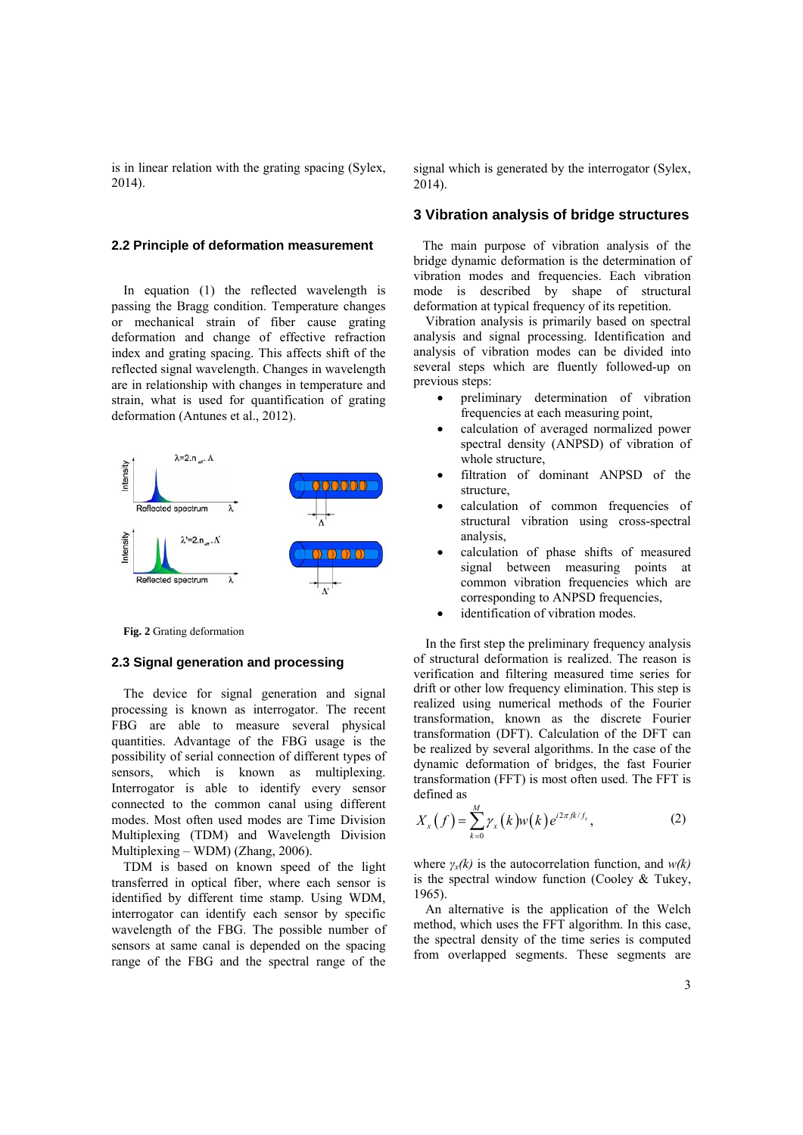is in linear relation with the grating spacing (Sylex, 2014).

#### **2.2 Principle of deformation measurement**

In equation (1) the reflected wavelength is passing the Bragg condition. Temperature changes or mechanical strain of fiber cause grating deformation and change of effective refraction index and grating spacing. This affects shift of the reflected signal wavelength. Changes in wavelength are in relationship with changes in temperature and strain, what is used for quantification of grating deformation (Antunes et al., 2012).



**Fig. 2** Grating deformation

#### **2.3 Signal generation and processing**

The device for signal generation and signal processing is known as interrogator. The recent FBG are able to measure several physical quantities. Advantage of the FBG usage is the possibility of serial connection of different types of sensors, which is known as multiplexing. Interrogator is able to identify every sensor connected to the common canal using different modes. Most often used modes are Time Division Multiplexing (TDM) and Wavelength Division Multiplexing – WDM) (Zhang, 2006).

TDM is based on known speed of the light transferred in optical fiber, where each sensor is identified by different time stamp. Using WDM, interrogator can identify each sensor by specific wavelength of the FBG. The possible number of sensors at same canal is depended on the spacing range of the FBG and the spectral range of the

signal which is generated by the interrogator (Sylex, 2014).

# **3 Vibration analysis of bridge structures**

The main purpose of vibration analysis of the bridge dynamic deformation is the determination of vibration modes and frequencies. Each vibration mode is described by shape of structural deformation at typical frequency of its repetition.

Vibration analysis is primarily based on spectral analysis and signal processing. Identification and analysis of vibration modes can be divided into several steps which are fluently followed-up on previous steps:

- preliminary determination of vibration frequencies at each measuring point,
- calculation of averaged normalized power spectral density (ANPSD) of vibration of whole structure,
- filtration of dominant ANPSD of the structure,
- calculation of common frequencies of structural vibration using cross-spectral analysis,
- calculation of phase shifts of measured signal between measuring points at common vibration frequencies which are corresponding to ANPSD frequencies,
- identification of vibration modes.

In the first step the preliminary frequency analysis of structural deformation is realized. The reason is verification and filtering measured time series for drift or other low frequency elimination. This step is realized using numerical methods of the Fourier transformation, known as the discrete Fourier transformation (DFT). Calculation of the DFT can be realized by several algorithms. In the case of the dynamic deformation of bridges, the fast Fourier transformation (FFT) is most often used. The FFT is defined as

$$
X_x(f) = \sum_{k=0}^{M} \gamma_x(k) w(k) e^{i2\pi f k/f_s}, \qquad (2)
$$

where *γx(k)* is the autocorrelation function, and *w(k)* is the spectral window function (Cooley & Tukey, 1965).

An alternative is the application of the Welch method, which uses the FFT algorithm. In this case, the spectral density of the time series is computed from overlapped segments. These segments are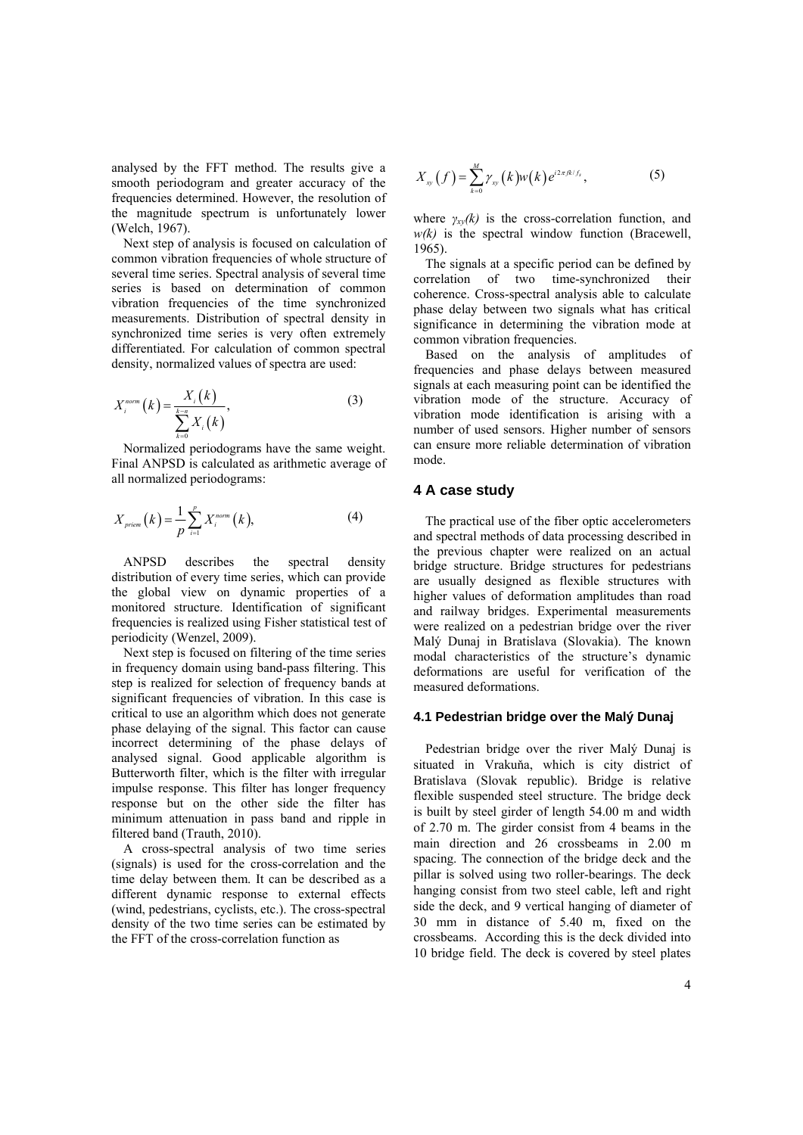analysed by the FFT method. The results give a smooth periodogram and greater accuracy of the frequencies determined. However, the resolution of the magnitude spectrum is unfortunately lower (Welch, 1967).

Next step of analysis is focused on calculation of common vibration frequencies of whole structure of several time series. Spectral analysis of several time series is based on determination of common vibration frequencies of the time synchronized measurements. Distribution of spectral density in synchronized time series is very often extremely differentiated. For calculation of common spectral density, normalized values of spectra are used:

$$
X_i^{norm}\left(k\right) = \frac{X_i\left(k\right)}{\sum_{k=0}^{k-n} X_i\left(k\right)},\tag{3}
$$

Normalized periodograms have the same weight. Final ANPSD is calculated as arithmetic average of all normalized periodograms:

$$
X_{\text{prime}}(k) = \frac{1}{p} \sum_{i=1}^{p} X_i^{\text{norm}}(k), \tag{4}
$$

ANPSD describes the spectral density distribution of every time series, which can provide the global view on dynamic properties of a monitored structure. Identification of significant frequencies is realized using Fisher statistical test of periodicity (Wenzel, 2009).

Next step is focused on filtering of the time series in frequency domain using band-pass filtering. This step is realized for selection of frequency bands at significant frequencies of vibration. In this case is critical to use an algorithm which does not generate phase delaying of the signal. This factor can cause incorrect determining of the phase delays of analysed signal. Good applicable algorithm is Butterworth filter, which is the filter with irregular impulse response. This filter has longer frequency response but on the other side the filter has minimum attenuation in pass band and ripple in filtered band (Trauth, 2010).

A cross-spectral analysis of two time series (signals) is used for the cross-correlation and the time delay between them. It can be described as a different dynamic response to external effects (wind, pedestrians, cyclists, etc.). The cross-spectral density of the two time series can be estimated by the FFT of the cross-correlation function as

$$
X_{xy}(f) = \sum_{k=0}^{M} \gamma_{xy}(k) w(k) e^{i 2\pi f k/f_s},
$$
 (5)

where  $\gamma_{xy}(k)$  is the cross-correlation function, and *w(k)* is the spectral window function (Bracewell, 1965).

The signals at a specific period can be defined by correlation of two time-synchronized their coherence. Cross-spectral analysis able to calculate phase delay between two signals what has critical significance in determining the vibration mode at common vibration frequencies.

Based on the analysis of amplitudes of frequencies and phase delays between measured signals at each measuring point can be identified the vibration mode of the structure. Accuracy of vibration mode identification is arising with a number of used sensors. Higher number of sensors can ensure more reliable determination of vibration mode.

#### **4 A case study**

The practical use of the fiber optic accelerometers and spectral methods of data processing described in the previous chapter were realized on an actual bridge structure. Bridge structures for pedestrians are usually designed as flexible structures with higher values of deformation amplitudes than road and railway bridges. Experimental measurements were realized on a pedestrian bridge over the river Malý Dunaj in Bratislava (Slovakia). The known modal characteristics of the structure's dynamic deformations are useful for verification of the measured deformations.

## **4.1 Pedestrian bridge over the Malý Dunaj**

Pedestrian bridge over the river Malý Dunaj is situated in Vrakuňa, which is city district of Bratislava (Slovak republic). Bridge is relative flexible suspended steel structure. The bridge deck is built by steel girder of length 54.00 m and width of 2.70 m. The girder consist from 4 beams in the main direction and 26 crossbeams in 2.00 m spacing. The connection of the bridge deck and the pillar is solved using two roller-bearings. The deck hanging consist from two steel cable, left and right side the deck, and 9 vertical hanging of diameter of 30 mm in distance of 5.40 m, fixed on the crossbeams. According this is the deck divided into 10 bridge field. The deck is covered by steel plates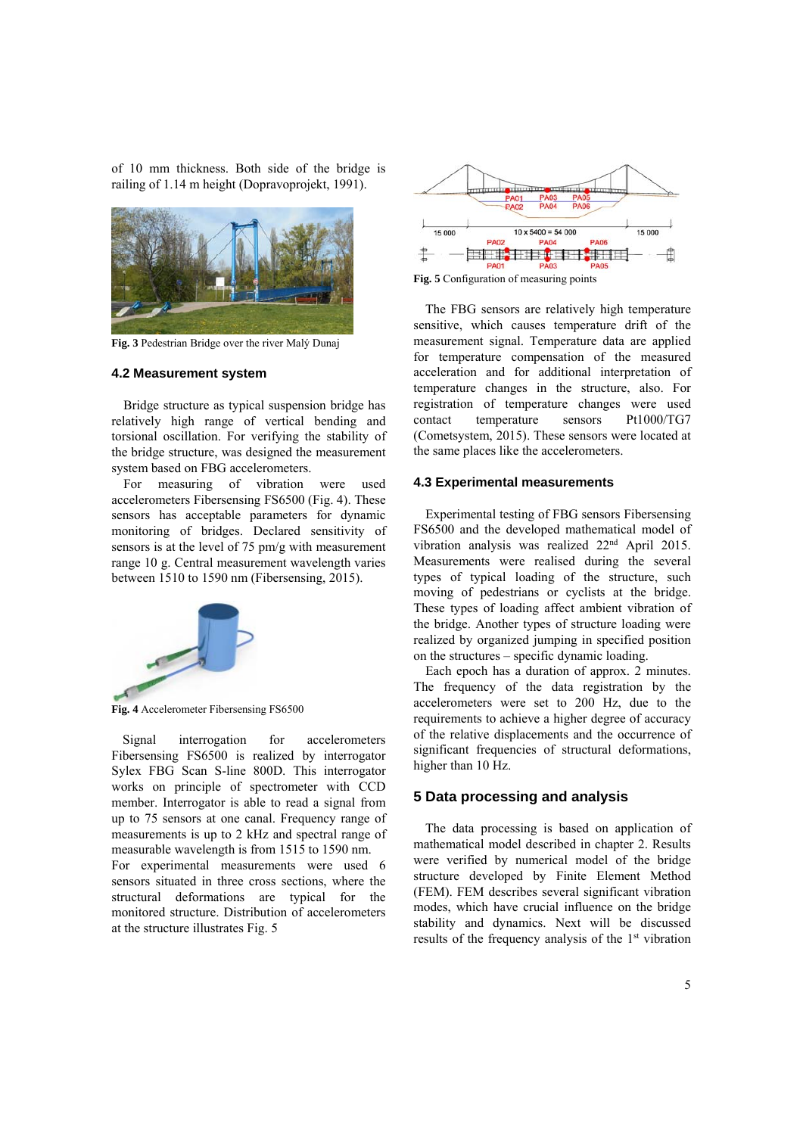of 10 mm thickness. Both side of the bridge is railing of 1.14 m height (Dopravoprojekt, 1991).



**Fig. 3** Pedestrian Bridge over the river Malý Dunaj

#### **4.2 Measurement system**

Bridge structure as typical suspension bridge has relatively high range of vertical bending and torsional oscillation. For verifying the stability of the bridge structure, was designed the measurement system based on FBG accelerometers.

For measuring of vibration were used accelerometers Fibersensing FS6500 (Fig. 4). These sensors has acceptable parameters for dynamic monitoring of bridges. Declared sensitivity of sensors is at the level of 75 pm/g with measurement range 10 g. Central measurement wavelength varies between 1510 to 1590 nm (Fibersensing, 2015).



**Fig. 4** Accelerometer Fibersensing FS6500

Signal interrogation for accelerometers Fibersensing FS6500 is realized by interrogator Sylex FBG Scan S-line 800D. This interrogator works on principle of spectrometer with CCD member. Interrogator is able to read a signal from up to 75 sensors at one canal. Frequency range of measurements is up to 2 kHz and spectral range of measurable wavelength is from 1515 to 1590 nm.

For experimental measurements were used 6 sensors situated in three cross sections, where the structural deformations are typical for the monitored structure. Distribution of accelerometers at the structure illustrates Fig. 5



**Fig. 5** Configuration of measuring points

The FBG sensors are relatively high temperature sensitive, which causes temperature drift of the measurement signal. Temperature data are applied for temperature compensation of the measured acceleration and for additional interpretation of temperature changes in the structure, also. For registration of temperature changes were used contact temperature sensors Pt1000/TG7 (Cometsystem, 2015). These sensors were located at the same places like the accelerometers.

#### **4.3 Experimental measurements**

Experimental testing of FBG sensors Fibersensing FS6500 and the developed mathematical model of vibration analysis was realized 22nd April 2015. Measurements were realised during the several types of typical loading of the structure, such moving of pedestrians or cyclists at the bridge. These types of loading affect ambient vibration of the bridge. Another types of structure loading were realized by organized jumping in specified position on the structures – specific dynamic loading.

Each epoch has a duration of approx. 2 minutes. The frequency of the data registration by the accelerometers were set to 200 Hz, due to the requirements to achieve a higher degree of accuracy of the relative displacements and the occurrence of significant frequencies of structural deformations, higher than 10 Hz.

## **5 Data processing and analysis**

The data processing is based on application of mathematical model described in chapter 2. Results were verified by numerical model of the bridge structure developed by Finite Element Method (FEM). FEM describes several significant vibration modes, which have crucial influence on the bridge stability and dynamics. Next will be discussed results of the frequency analysis of the 1st vibration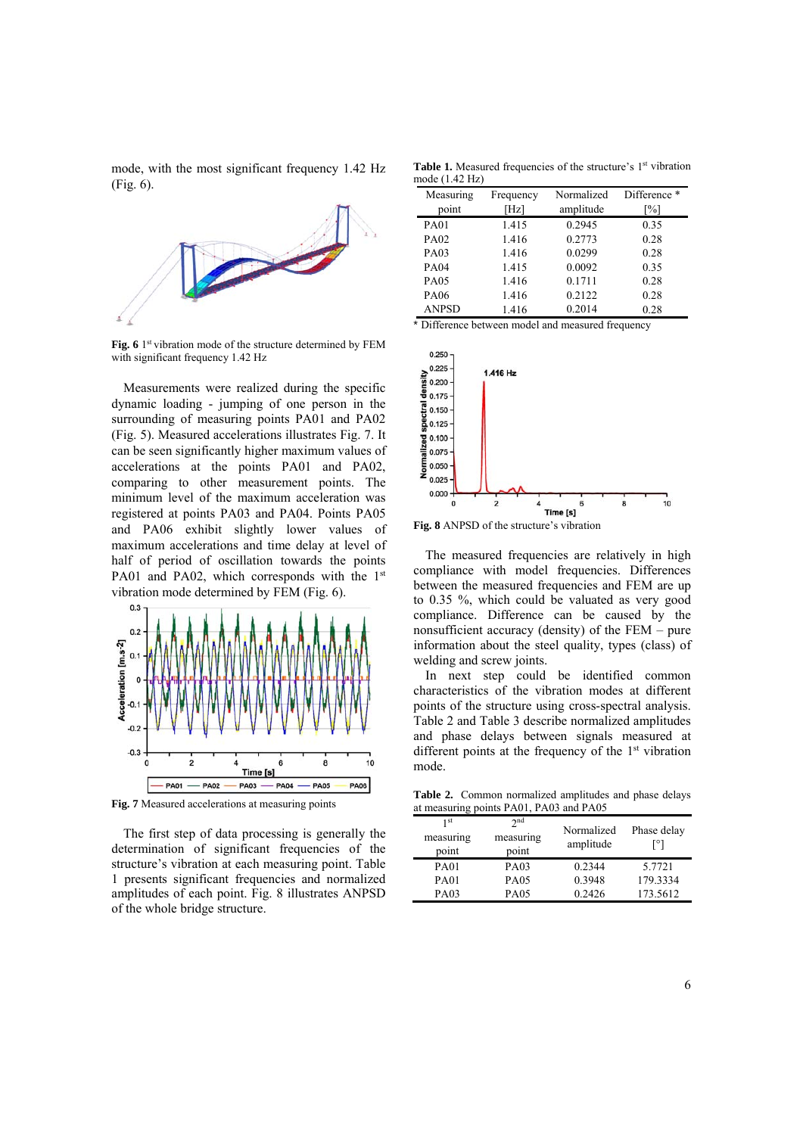mode, with the most significant frequency 1.42 Hz (Fig. 6).



Fig. 6 <sup>1st</sup> vibration mode of the structure determined by FEM with significant frequency 1.42 Hz

Measurements were realized during the specific dynamic loading - jumping of one person in the surrounding of measuring points PA01 and PA02 (Fig. 5). Measured accelerations illustrates Fig. 7. It can be seen significantly higher maximum values of accelerations at the points PA01 and PA02, comparing to other measurement points. The minimum level of the maximum acceleration was registered at points PA03 and PA04. Points PA05 and PA06 exhibit slightly lower values of maximum accelerations and time delay at level of half of period of oscillation towards the points PA01 and PA02, which corresponds with the 1<sup>st</sup> vibration mode determined by FEM (Fig. 6).



**Fig. 7** Measured accelerations at measuring points

The first step of data processing is generally the determination of significant frequencies of the structure's vibration at each measuring point. Table 1 presents significant frequencies and normalized amplitudes of each point. Fig. 8 illustrates ANPSD of the whole bridge structure.

Table 1. Measured frequencies of the structure's 1<sup>st</sup> vibration mode (1.42 Hz)

| Measuring<br>point | Frequency<br>[Hz] | Normalized<br>amplitude | Difference *<br>[%] |
|--------------------|-------------------|-------------------------|---------------------|
| <b>PA01</b>        | 1.415             | 0.2945                  | 0.35                |
| PA02               | 1.416             | 0.2773                  | 0.28                |
| <b>PA03</b>        | 1.416             | 0.0299                  | 0.28                |
| <b>PA04</b>        | 1.415             | 0.0092                  | 0.35                |
| <b>PA05</b>        | 1.416             | 0.1711                  | 0.28                |
| PA06               | 1.416             | 0.2122                  | 0.28                |
| <b>ANPSD</b>       | 1.416             | 0.2014                  | 0.28                |

\* Difference between model and measured frequency



**Fig. 8** ANPSD of the structure's vibration

The measured frequencies are relatively in high compliance with model frequencies. Differences between the measured frequencies and FEM are up to 0.35 %, which could be valuated as very good compliance. Difference can be caused by the nonsufficient accuracy (density) of the FEM – pure information about the steel quality, types (class) of welding and screw joints.

In next step could be identified common characteristics of the vibration modes at different points of the structure using cross-spectral analysis. Table 2 and Table 3 describe normalized amplitudes and phase delays between signals measured at different points at the frequency of the  $1<sup>st</sup>$  vibration mode.

**Table 2.** Common normalized amplitudes and phase delays at measuring points PA01, PA03 and PA05

| 1 st<br>measuring<br>point | 2 <sub>nd</sub><br>measuring<br>point | Normalized<br>amplitude | Phase delay<br>[°] |
|----------------------------|---------------------------------------|-------------------------|--------------------|
| <b>PA01</b>                | PA03                                  | 0.2344                  | 5.7721             |
| <b>PA01</b>                | <b>PA05</b>                           | 0.3948                  | 179.3334           |
| PA03                       | <b>PA05</b>                           | 0.2426                  | 173.5612           |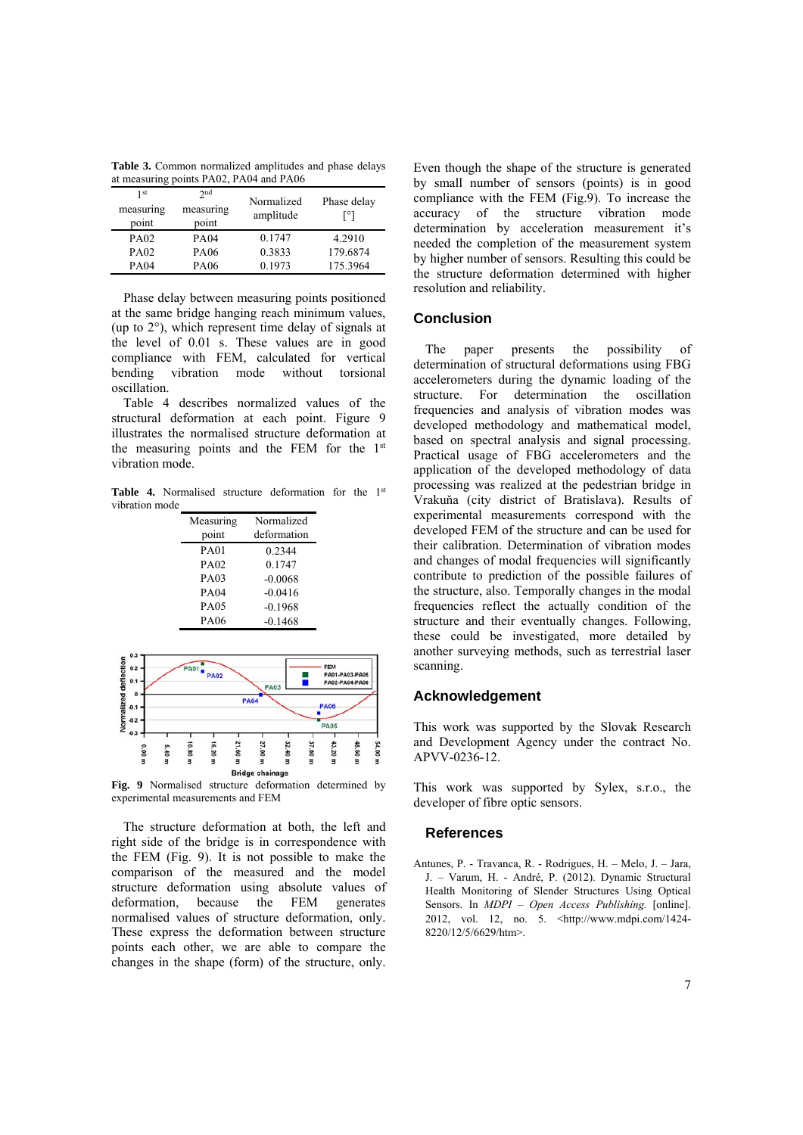**Table 3.** Common normalized amplitudes and phase delays at measuring points PA02, PA04 and PA06

| 1 <sub>st</sub><br>measuring<br>point | 2nd<br>measuring<br>point | Normalized<br>amplitude | Phase delay<br>[°] |
|---------------------------------------|---------------------------|-------------------------|--------------------|
| PA <sub>02</sub>                      | PA04                      | 0.1747                  | 4.2910             |
| PA <sub>02</sub>                      | PA06                      | 0.3833                  | 179.6874           |
| PA04                                  | PA06                      | 0.1973                  | 175.3964           |

Phase delay between measuring points positioned at the same bridge hanging reach minimum values, (up to 2°), which represent time delay of signals at the level of 0.01 s. These values are in good compliance with FEM, calculated for vertical bending vibration mode without torsional oscillation.

Table 4 describes normalized values of the structural deformation at each point. Figure 9 illustrates the normalised structure deformation at the measuring points and the FEM for the 1st vibration mode.

Table 4. Normalised structure deformation for the 1<sup>st</sup> vibration mode

| Measuring   | Normalized  |  |
|-------------|-------------|--|
| point       | deformation |  |
| <b>PA01</b> | 0.2344      |  |
| PA02        | 0.1747      |  |
| PA03        | $-0.0068$   |  |
| <b>PA04</b> | $-0.0416$   |  |
| <b>PA05</b> | $-0.1968$   |  |
| PA06        | $-0.1468$   |  |



**Fig. 9** Normalised structure deformation determined by experimental measurements and FEM

The structure deformation at both, the left and right side of the bridge is in correspondence with the FEM (Fig. 9). It is not possible to make the comparison of the measured and the model structure deformation using absolute values of deformation, because the FEM generates normalised values of structure deformation, only. These express the deformation between structure points each other, we are able to compare the changes in the shape (form) of the structure, only.

Even though the shape of the structure is generated by small number of sensors (points) is in good compliance with the FEM (Fig.9). To increase the accuracy of the structure vibration mode determination by acceleration measurement it's needed the completion of the measurement system by higher number of sensors. Resulting this could be the structure deformation determined with higher resolution and reliability.

# **Conclusion**

The paper presents the possibility of determination of structural deformations using FBG accelerometers during the dynamic loading of the structure. For determination the oscillation frequencies and analysis of vibration modes was developed methodology and mathematical model, based on spectral analysis and signal processing. Practical usage of FBG accelerometers and the application of the developed methodology of data processing was realized at the pedestrian bridge in Vrakuňa (city district of Bratislava). Results of experimental measurements correspond with the developed FEM of the structure and can be used for their calibration. Determination of vibration modes and changes of modal frequencies will significantly contribute to prediction of the possible failures of the structure, also. Temporally changes in the modal frequencies reflect the actually condition of the structure and their eventually changes. Following, these could be investigated, more detailed by another surveying methods, such as terrestrial laser scanning.

#### **Acknowledgement**

This work was supported by the Slovak Research and Development Agency under the contract No. APVV-0236-12.

This work was supported by Sylex, s.r.o., the developer of fibre optic sensors.

# **References**

Antunes, P. - Travanca, R. - Rodrigues, H. – Melo, J. – Jara, J. – Varum, H. - André, P. (2012). Dynamic Structural Health Monitoring of Slender Structures Using Optical Sensors. In *MDPI – Open Access Publishing.* [online]. 2012, vol. 12, no. 5. <http://www.mdpi.com/1424- 8220/12/5/6629/htm>.